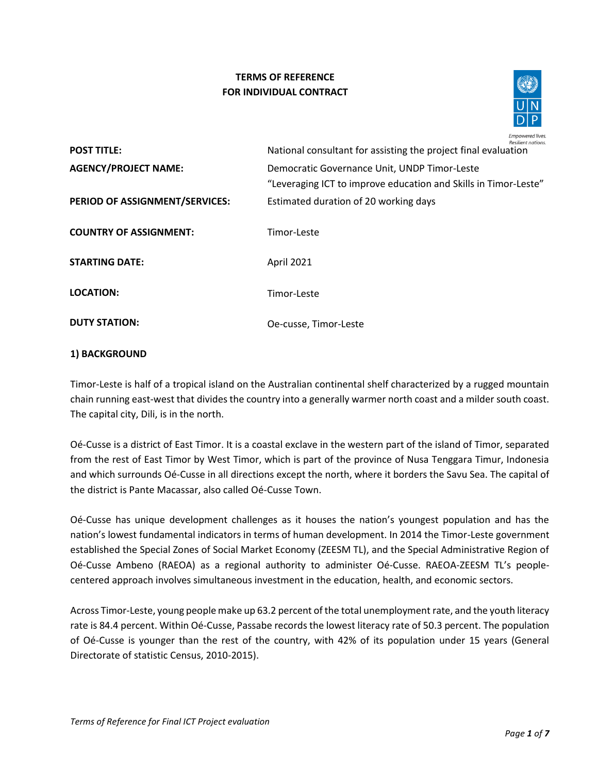# **TERMS OF REFERENCE FOR INDIVIDUAL CONTRACT**



| <b>POST TITLE:</b>             | Resilient nations.<br>National consultant for assisting the project final evaluation                            |
|--------------------------------|-----------------------------------------------------------------------------------------------------------------|
| <b>AGENCY/PROJECT NAME:</b>    | Democratic Governance Unit, UNDP Timor-Leste<br>"Leveraging ICT to improve education and Skills in Timor-Leste" |
| PERIOD OF ASSIGNMENT/SERVICES: | Estimated duration of 20 working days                                                                           |
| <b>COUNTRY OF ASSIGNMENT:</b>  | Timor-Leste                                                                                                     |
| <b>STARTING DATE:</b>          | April 2021                                                                                                      |
| <b>LOCATION:</b>               | Timor-Leste                                                                                                     |
| <b>DUTY STATION:</b>           | Oe-cusse, Timor-Leste                                                                                           |

## **1) BACKGROUND**

Timor-Leste is half of a tropical island on the Australian continental shelf characterized by a rugged mountain chain running east-west that divides the country into a generally warmer north coast and a milder south coast. The capital city, Dili, is in the north.

Oé-Cusse is a district of East Timor. It is a coastal exclave in the western part of the island of Timor, separated from the rest of East Timor by West Timor, which is part of the province of Nusa Tenggara Timur, Indonesia and which surrounds Oé-Cusse in all directions except the north, where it borders the Savu Sea. The capital of the district is Pante Macassar, also called Oé-Cusse Town.

Oé-Cusse has unique development challenges as it houses the nation's youngest population and has the nation's lowest fundamental indicators in terms of human development. In 2014 the Timor-Leste government established the Special Zones of Social Market Economy (ZEESM TL), and the Special Administrative Region of Oé-Cusse Ambeno (RAEOA) as a regional authority to administer Oé-Cusse. RAEOA-ZEESM TL's peoplecentered approach involves simultaneous investment in the education, health, and economic sectors.

Across Timor-Leste, young people make up 63.2 percent of the total unemployment rate, and the youth literacy rate is 84.4 percent. Within Oé-Cusse, Passabe records the lowest literacy rate of 50.3 percent. The population of Oé-Cusse is younger than the rest of the country, with 42% of its population under 15 years (General Directorate of statistic Census, 2010-2015).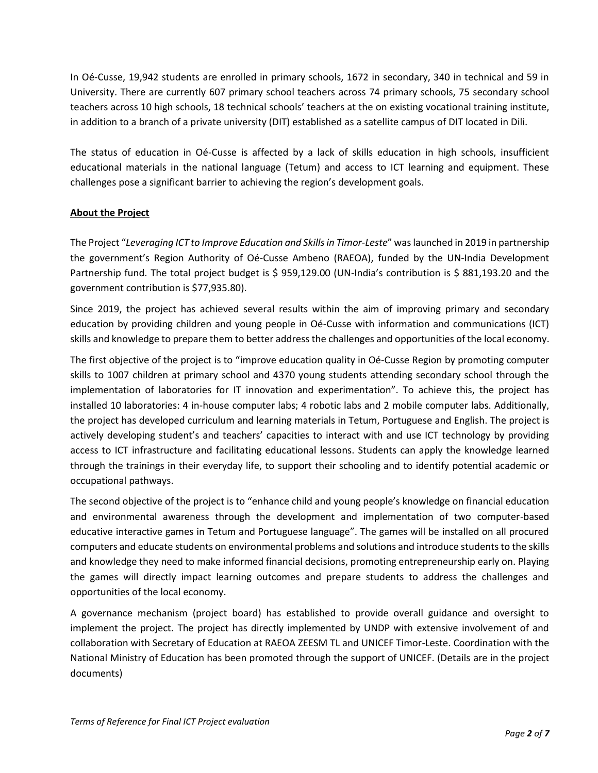In Oé-Cusse, 19,942 students are enrolled in primary schools, 1672 in secondary, 340 in technical and 59 in University. There are currently 607 primary school teachers across 74 primary schools, 75 secondary school teachers across 10 high schools, 18 technical schools' teachers at the on existing vocational training institute, in addition to a branch of a private university (DIT) established as a satellite campus of DIT located in Dili.

The status of education in Oé-Cusse is affected by a lack of skills education in high schools, insufficient educational materials in the national language (Tetum) and access to ICT learning and equipment. These challenges pose a significant barrier to achieving the region's development goals.

## **About the Project**

The Project "*Leveraging ICT to Improve Education and Skills in Timor-Leste*" was launched in 2019 in partnership the government's Region Authority of Oé-Cusse Ambeno (RAEOA), funded by the UN-India Development Partnership fund. The total project budget is \$ 959,129.00 (UN-India's contribution is \$ 881,193.20 and the government contribution is \$77,935.80).

Since 2019, the project has achieved several results within the aim of improving primary and secondary education by providing children and young people in Oé-Cusse with information and communications (ICT) skills and knowledge to prepare them to better address the challenges and opportunities of the local economy.

The first objective of the project is to "improve education quality in Oé-Cusse Region by promoting computer skills to 1007 children at primary school and 4370 young students attending secondary school through the implementation of laboratories for IT innovation and experimentation". To achieve this, the project has installed 10 laboratories: 4 in-house computer labs; 4 robotic labs and 2 mobile computer labs. Additionally, the project has developed curriculum and learning materials in Tetum, Portuguese and English. The project is actively developing student's and teachers' capacities to interact with and use ICT technology by providing access to ICT infrastructure and facilitating educational lessons. Students can apply the knowledge learned through the trainings in their everyday life, to support their schooling and to identify potential academic or occupational pathways.

The second objective of the project is to "enhance child and young people's knowledge on financial education and environmental awareness through the development and implementation of two computer-based educative interactive games in Tetum and Portuguese language". The games will be installed on all procured computers and educate students on environmental problems and solutions and introduce students to the skills and knowledge they need to make informed financial decisions, promoting entrepreneurship early on. Playing the games will directly impact learning outcomes and prepare students to address the challenges and opportunities of the local economy.

A governance mechanism (project board) has established to provide overall guidance and oversight to implement the project. The project has directly implemented by UNDP with extensive involvement of and collaboration with Secretary of Education at RAEOA ZEESM TL and UNICEF Timor-Leste. Coordination with the National Ministry of Education has been promoted through the support of UNICEF. (Details are in the project documents)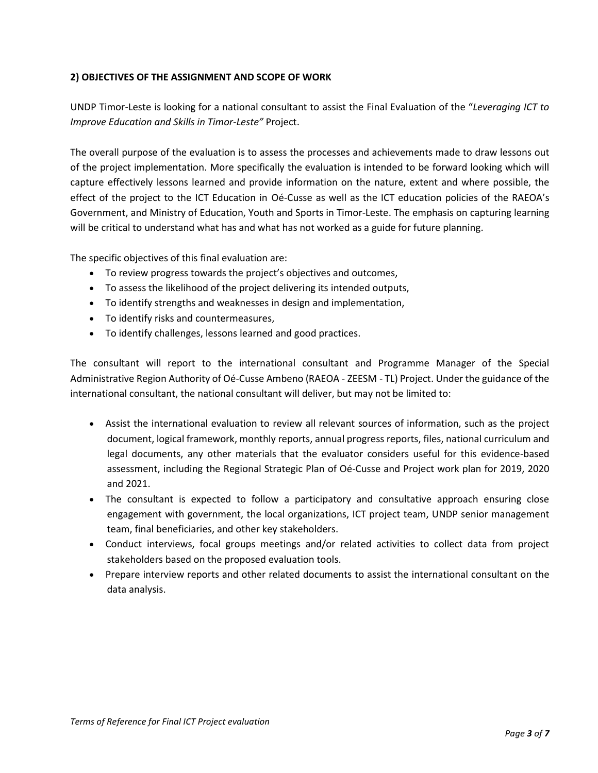## **2) OBJECTIVES OF THE ASSIGNMENT AND SCOPE OF WORK**

UNDP Timor-Leste is looking for a national consultant to assist the Final Evaluation of the "*Leveraging ICT to Improve Education and Skills in Timor-Leste"* Project.

The overall purpose of the evaluation is to assess the processes and achievements made to draw lessons out of the project implementation. More specifically the evaluation is intended to be forward looking which will capture effectively lessons learned and provide information on the nature, extent and where possible, the effect of the project to the ICT Education in Oé-Cusse as well as the ICT education policies of the RAEOA's Government, and Ministry of Education, Youth and Sports in Timor-Leste. The emphasis on capturing learning will be critical to understand what has and what has not worked as a guide for future planning.

The specific objectives of this final evaluation are:

- To review progress towards the project's objectives and outcomes,
- To assess the likelihood of the project delivering its intended outputs,
- To identify strengths and weaknesses in design and implementation,
- To identify risks and countermeasures,
- To identify challenges, lessons learned and good practices.

The consultant will report to the international consultant and Programme Manager of the Special Administrative Region Authority of Oé-Cusse Ambeno (RAEOA - ZEESM - TL) Project. Under the guidance of the international consultant, the national consultant will deliver, but may not be limited to:

- Assist the international evaluation to review all relevant sources of information, such as the project document, logical framework, monthly reports, annual progress reports, files, national curriculum and legal documents, any other materials that the evaluator considers useful for this evidence-based assessment, including the Regional Strategic Plan of Oé-Cusse and Project work plan for 2019, 2020 and 2021.
- The consultant is expected to follow a participatory and consultative approach ensuring close engagement with government, the local organizations, ICT project team, UNDP senior management team, final beneficiaries, and other key stakeholders.
- Conduct interviews, focal groups meetings and/or related activities to collect data from project stakeholders based on the proposed evaluation tools.
- Prepare interview reports and other related documents to assist the international consultant on the data analysis.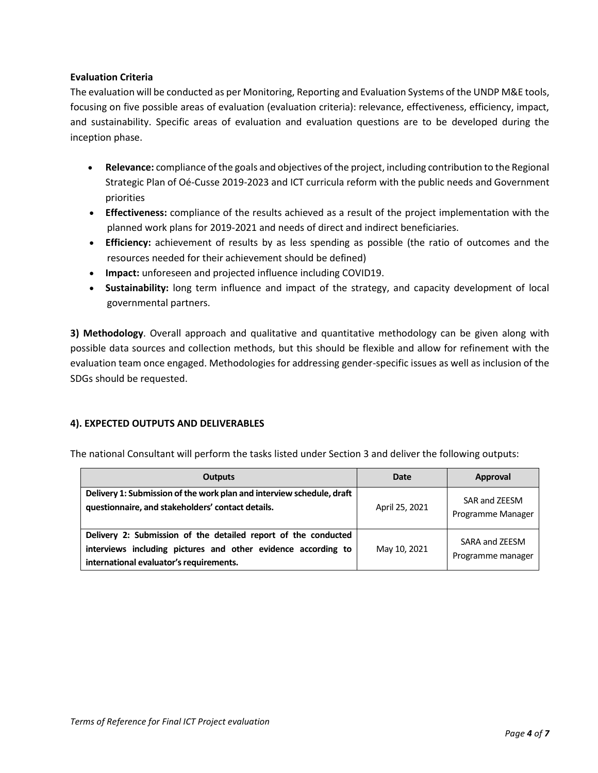## **Evaluation Criteria**

The evaluation will be conducted as per Monitoring, Reporting and Evaluation Systems of the UNDP M&E tools, focusing on five possible areas of evaluation (evaluation criteria): relevance, effectiveness, efficiency, impact, and sustainability. Specific areas of evaluation and evaluation questions are to be developed during the inception phase.

- **Relevance:** compliance of the goals and objectives of the project, including contribution to the Regional Strategic Plan of Oé-Cusse 2019-2023 and ICT curricula reform with the public needs and Government priorities
- **Effectiveness:** compliance of the results achieved as a result of the project implementation with the planned work plans for 2019-2021 and needs of direct and indirect beneficiaries.
- **Efficiency:** achievement of results by as less spending as possible (the ratio of outcomes and the resources needed for their achievement should be defined)
- **Impact:** unforeseen and projected influence including COVID19.
- **Sustainability:** long term influence and impact of the strategy, and capacity development of local governmental partners.

**3) Methodology**. Overall approach and qualitative and quantitative methodology can be given along with possible data sources and collection methods, but this should be flexible and allow for refinement with the evaluation team once engaged. Methodologies for addressing gender-specific issues as well as inclusion of the SDGs should be requested.

## **4). EXPECTED OUTPUTS AND DELIVERABLES**

The national Consultant will perform the tasks listed under Section 3 and deliver the following outputs:

| <b>Outputs</b>                                                                                                                                                             | Date           | Approval                            |
|----------------------------------------------------------------------------------------------------------------------------------------------------------------------------|----------------|-------------------------------------|
| Delivery 1: Submission of the work plan and interview schedule, draft<br>questionnaire, and stakeholders' contact details.                                                 | April 25, 2021 | SAR and ZEESM<br>Programme Manager  |
| Delivery 2: Submission of the detailed report of the conducted<br>interviews including pictures and other evidence according to<br>international evaluator's requirements. | May 10, 2021   | SARA and ZEESM<br>Programme manager |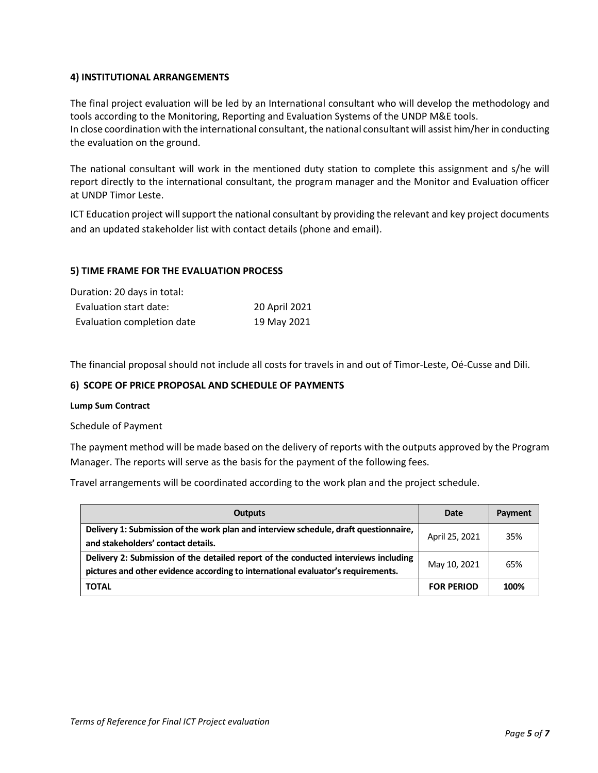### **4) INSTITUTIONAL ARRANGEMENTS**

The final project evaluation will be led by an International consultant who will develop the methodology and tools according to the Monitoring, Reporting and Evaluation Systems of the UNDP M&E tools. In close coordination with the international consultant, the national consultant will assist him/her in conducting the evaluation on the ground.

The national consultant will work in the mentioned duty station to complete this assignment and s/he will report directly to the international consultant, the program manager and the Monitor and Evaluation officer at UNDP Timor Leste.

ICT Education project will support the national consultant by providing the relevant and key project documents and an updated stakeholder list with contact details (phone and email).

## **5) TIME FRAME FOR THE EVALUATION PROCESS**

Duration: 20 days in total:

| Evaluation start date:     | 20 April 2021 |
|----------------------------|---------------|
| Evaluation completion date | 19 May 2021   |

The financial proposal should not include all costs for travels in and out of Timor-Leste, Oé-Cusse and Dili.

### **6) SCOPE OF PRICE PROPOSAL AND SCHEDULE OF PAYMENTS**

#### **Lump Sum Contract**

Schedule of Payment

The payment method will be made based on the delivery of reports with the outputs approved by the Program Manager. The reports will serve as the basis for the payment of the following fees.

Travel arrangements will be coordinated according to the work plan and the project schedule.

| Outputs                                                                                                                                                                 | Date              | Payment |
|-------------------------------------------------------------------------------------------------------------------------------------------------------------------------|-------------------|---------|
| Delivery 1: Submission of the work plan and interview schedule, draft questionnaire,<br>and stakeholders' contact details.                                              | April 25, 2021    | 35%     |
| Delivery 2: Submission of the detailed report of the conducted interviews including<br>pictures and other evidence according to international evaluator's requirements. | May 10, 2021      | 65%     |
| <b>TOTAL</b>                                                                                                                                                            | <b>FOR PERIOD</b> | 100%    |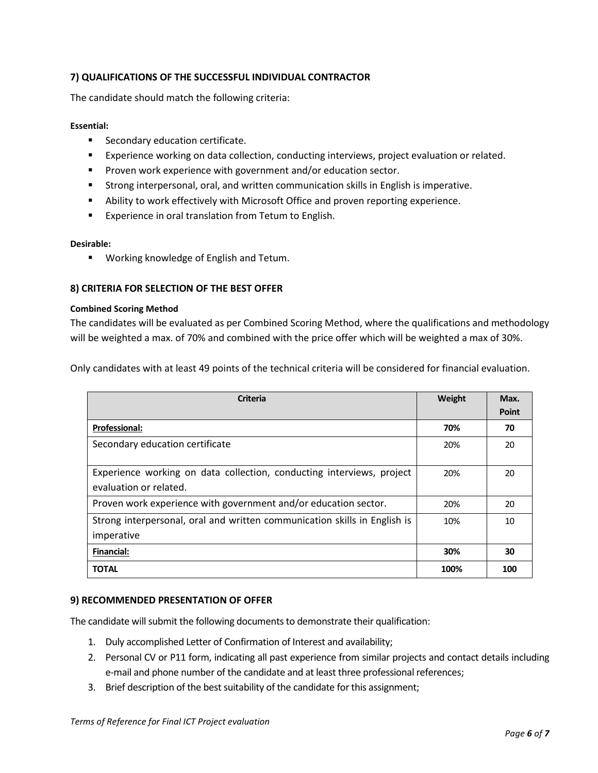## **7) QUALIFICATIONS OF THE SUCCESSFUL INDIVIDUAL CONTRACTOR**

The candidate should match the following criteria:

#### **Essential:**

- Secondary education certificate.
- **Experience working on data collection, conducting interviews, project evaluation or related.**
- Proven work experience with government and/or education sector.
- **EXECT** Strong interpersonal, oral, and written communication skills in English is imperative.
- **EXECT** Ability to work effectively with Microsoft Office and proven reporting experience.
- Experience in oral translation from Tetum to English.

#### **Desirable:**

▪ Working knowledge of English and Tetum.

### **8) CRITERIA FOR SELECTION OF THE BEST OFFER**

#### **Combined Scoring Method**

The candidates will be evaluated as per Combined Scoring Method, where the qualifications and methodology will be weighted a max. of 70% and combined with the price offer which will be weighted a max of 30%.

Only candidates with at least 49 points of the technical criteria will be considered for financial evaluation.

| <b>Criteria</b>                                                                                 | Weight | Max.         |
|-------------------------------------------------------------------------------------------------|--------|--------------|
|                                                                                                 |        | <b>Point</b> |
| <b>Professional:</b>                                                                            | 70%    | 70           |
| Secondary education certificate                                                                 | 20%    | 20           |
| Experience working on data collection, conducting interviews, project<br>evaluation or related. | 20%    | 20           |
| Proven work experience with government and/or education sector.                                 | 20%    | 20           |
| Strong interpersonal, oral and written communication skills in English is<br>imperative         | 10%    | 10           |
| <b>Financial:</b>                                                                               | 30%    | 30           |
| <b>TOTAL</b>                                                                                    | 100%   | 100          |

### **9) RECOMMENDED PRESENTATION OF OFFER**

The candidate will submit the following documents to demonstrate their qualification:

- 1. Duly accomplished Letter of Confirmation of Interest and availability;
- 2. Personal CV or P11 form, indicating all past experience from similar projects and contact details including e-mail and phone number of the candidate and at least three professional references;
- 3. Brief description of the best suitability of the candidate for this assignment;